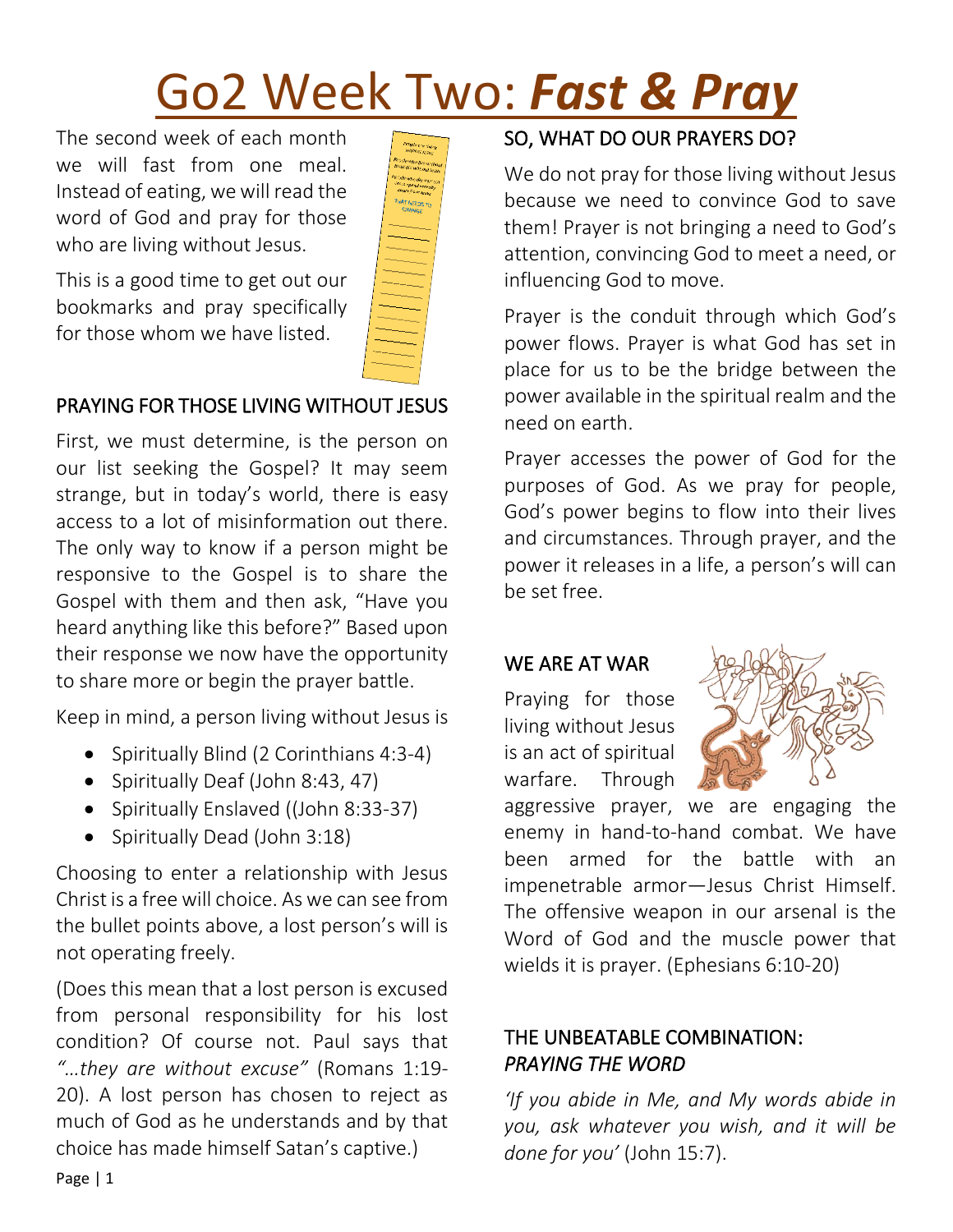# Go2 Week Two: *Fast & Pray*

The second week of each month we will fast from one meal. Instead of eating, we will read the word of God and pray for those who are living without Jesus.



This is a good time to get out our bookmarks and pray specifically for those whom we have listed.

# PRAYING FOR THOSE LIVING WITHOUT JESUS

First, we must determine, is the person on our list seeking the Gospel? It may seem strange, but in today's world, there is easy access to a lot of misinformation out there. The only way to know if a person might be responsive to the Gospel is to share the Gospel with them and then ask, "Have you heard anything like this before?" Based upon their response we now have the opportunity to share more or begin the prayer battle.

Keep in mind, a person living without Jesus is

- Spiritually Blind (2 Corinthians 4:3-4)
- Spiritually Deaf (John 8:43, 47)
- Spiritually Enslaved ((John 8:33-37)
- Spiritually Dead (John 3:18)

Choosing to enter a relationship with Jesus Christ is a free will choice. As we can see from the bullet points above, a lost person's will is not operating freely.

(Does this mean that a lost person is excused from personal responsibility for his lost condition? Of course not. Paul says that *"…they are without excuse"* (Romans 1:19- 20). A lost person has chosen to reject as much of God as he understands and by that choice has made himself Satan's captive.)

# SO, WHAT DO OUR PRAYERS DO?

We do not pray for those living without Jesus because we need to convince God to save them! Prayer is not bringing a need to God's attention, convincing God to meet a need, or influencing God to move.

Prayer is the conduit through which God's power flows. Prayer is what God has set in place for us to be the bridge between the power available in the spiritual realm and the need on earth.

Prayer accesses the power of God for the purposes of God. As we pray for people, God's power begins to flow into their lives and circumstances. Through prayer, and the power it releases in a life, a person's will can be set free.

# WE ARE AT WAR

Praying for those living without Jesus is an act of spiritual warfare. Through



aggressive prayer, we are engaging the enemy in hand-to-hand combat. We have been armed for the battle with an impenetrable armor—Jesus Christ Himself. The offensive weapon in our arsenal is the Word of God and the muscle power that wields it is prayer. (Ephesians 6:10-20)

## THE UNBEATABLE COMBINATION: *PRAYING THE WORD*

*'If you abide in Me, and My words abide in you, ask whatever you wish, and it will be done for you'* (John 15:7).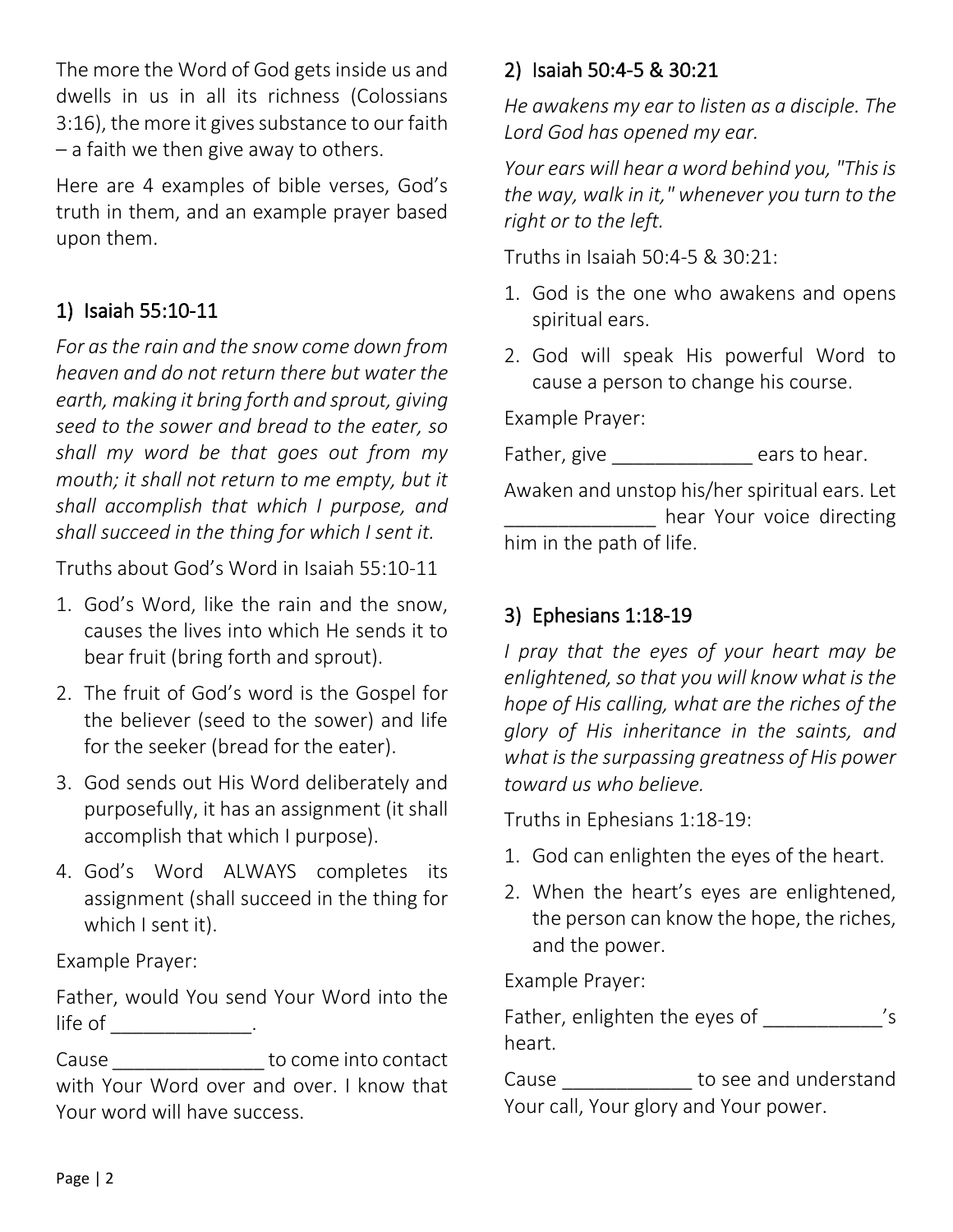The more the Word of God gets inside us and dwells in us in all its richness (Colossians 3:16), the more it gives substance to our faith – a faith we then give away to others.

Here are 4 examples of bible verses, God's truth in them, and an example prayer based upon them.

# 1) Isaiah 55:10-11

*For as the rain and the snow come down from heaven and do not return there but water the earth, making it bring forth and sprout, giving seed to the sower and bread to the eater, so shall my word be that goes out from my mouth; it shall not return to me empty, but it shall accomplish that which I purpose, and shall succeed in the thing for which I sent it.*

Truths about God's Word in Isaiah 55:10-11

- 1. God's Word, like the rain and the snow, causes the lives into which He sends it to bear fruit (bring forth and sprout).
- 2. The fruit of God's word is the Gospel for the believer (seed to the sower) and life for the seeker (bread for the eater).
- 3. God sends out His Word deliberately and purposefully, it has an assignment (it shall accomplish that which I purpose).
- 4. God's Word ALWAYS completes its assignment (shall succeed in the thing for which I sent it).

Example Prayer:

Father, would You send Your Word into the life of \_\_\_\_\_\_\_\_\_\_\_\_\_\_\_.

Cause \_\_\_\_\_\_\_\_\_\_\_\_\_\_\_\_\_\_ to come into contact with Your Word over and over. I know that Your word will have success.

# 2) Isaiah 50:4-5 & 30:21

*He awakens my ear to listen as a disciple. The Lord God has opened my ear.*

*Your ears will hear a word behind you, "This is the way, walk in it," whenever you turn to the right or to the left.*

Truths in Isaiah 50:4-5 & 30:21:

- 1. God is the one who awakens and opens spiritual ears.
- 2. God will speak His powerful Word to cause a person to change his course.

Example Prayer:

Father, give \_\_\_\_\_\_\_\_\_\_\_\_\_\_\_\_ ears to hear. Awaken and unstop his/her spiritual ears. Let hear Your voice directing him in the path of life.

# 3) Ephesians 1:18-19

*I pray that the eyes of your heart may be enlightened, so that you will know what is the hope of His calling, what are the riches of the glory of His inheritance in the saints, and what is the surpassing greatness of His power toward us who believe.*

Truths in Ephesians 1:18-19:

- 1. God can enlighten the eyes of the heart.
- 2. When the heart's eyes are enlightened, the person can know the hope, the riches, and the power.

Example Prayer:

Father, enlighten the eyes of \_\_\_\_\_\_\_\_\_\_\_\_ 's heart.

Cause **Lating Lines Cause** to see and understand Your call, Your glory and Your power.